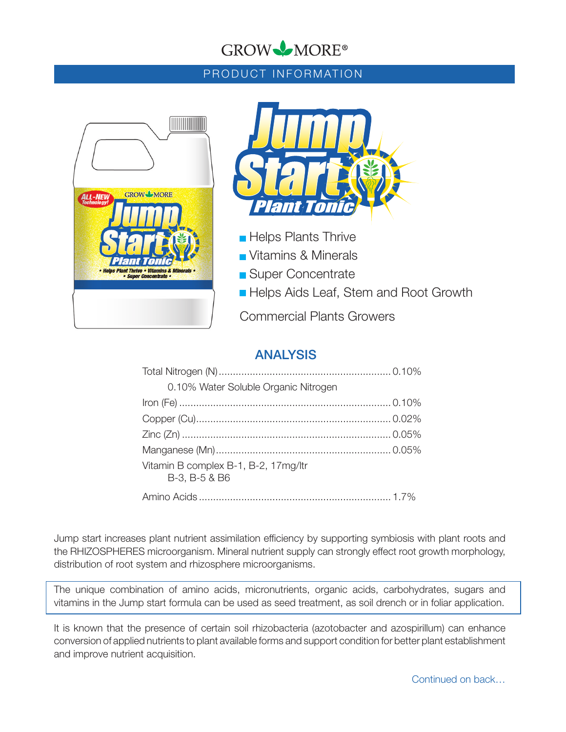# GROW MORE®

## PRODUCT INFORMATION





- **Helps Plants Thrive**
- Vitamins & Minerals
- **Super Concentrate**
- **Helps Aids Leaf, Stem and Root Growth**

Commercial Plants Growers

# ANALYSIS

| 0.10% Water Soluble Organic Nitrogen                  |  |
|-------------------------------------------------------|--|
|                                                       |  |
|                                                       |  |
|                                                       |  |
|                                                       |  |
| Vitamin B complex B-1, B-2, 17mg/ltr<br>B-3, B-5 & B6 |  |
|                                                       |  |

Jump start increases plant nutrient assimilation efficiency by supporting symbiosis with plant roots and the RHIZOSPHERES microorganism. Mineral nutrient supply can strongly effect root growth morphology, distribution of root system and rhizosphere microorganisms.

The unique combination of amino acids, micronutrients, organic acids, carbohydrates, sugars and vitamins in the Jump start formula can be used as seed treatment, as soil drench or in foliar application.

It is known that the presence of certain soil rhizobacteria (azotobacter and azospirillum) can enhance conversion of applied nutrients to plant available forms and support condition for better plant establishment and improve nutrient acquisition.